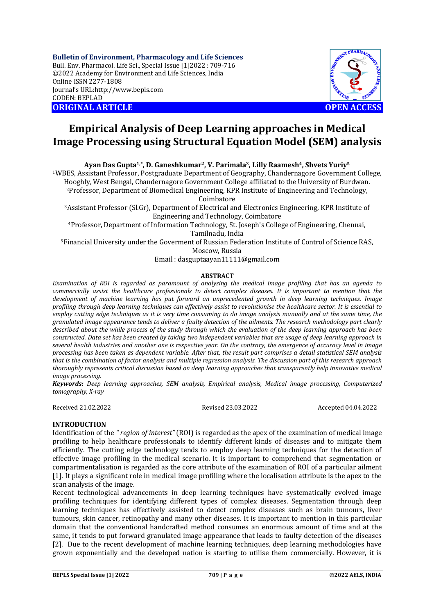**Bulletin of Environment, Pharmacology and Life Sciences** Bull. Env. Pharmacol. Life Sci., Special Issue [1]2022 : 709-716 ©2022 Academy for Environment and Life Sciences, India Online ISSN 2277-1808 Journal's URL:<http://www.bepls.com> CODEN: BEPLAD **ORIGINAL ARTICLE OPEN ACCESS** 



# **Empirical Analysis of Deep Learning approaches in Medical Image Processing using Structural Equation Model (SEM) analysis**

**Ayan Das Gupta1,\*, D. Ganeshkumar2, V. Parimala3, Lilly Raamesh4, Shvets Yuriy<sup>5</sup>**

<sup>1</sup>WBES, Assistant Professor, Postgraduate Department of Geography, Chandernagore Government College, Hooghly, West Bengal, Chandernagore Government College affiliated to the University of Burdwan. <sup>2</sup>Professor, Department of Biomedical Engineering, KPR Institute of Engineering and Technology,

Coimbatore

<sup>3</sup>Assistant Professor (Sl.Gr), Department of Electrical and Electronics Engineering, KPR Institute of Engineering and Technology, Coimbatore

<sup>4</sup>Professor, Department of Information Technology, St. Joseph's College of Engineering, Chennai, Tamilnadu, India

<sup>5</sup>Financial University under the Goverment of Russian Federation Institute of Control of Science RAS, Moscow, Russia

Email : [dasguptaayan11111@gmail.com](mailto:dasguptaayan11111@gmail.com)

# **ABSTRACT**

*Examination of ROI is regarded as paramount of analysing the medical image profiling that has an agenda to commercially assist the healthcare professionals to detect complex diseases. It is important to mention that the development of machine learning has put forward an unprecedented growth in deep learning techniques. Image profiling through deep learning techniques can effectively assist to revolutionise the healthcare sector. It is essential to employ cutting edge techniques as it is very time consuming to do image analysis manually and at the same time, the granulated image appearance tends to deliver a faulty detection of the ailments. The research methodology part clearly described about the while process of the study through which the evaluation of the deep learning approach has been constructed. Data set has been created by taking two independent variables that are usage of deep learning approach in several health industries and another one is respective year. On the contrary, the emergence of accuracy level in image processing has been taken as dependent variable. After that, the result part comprises a detail statistical SEM analysis that is the combination of factor analysis and multiple regression analysis. The discussion part of this research approach thoroughly represents critical discussion based on deep learning approaches that transparently help innovative medical image processing.*

*Keywords: Deep learning approaches, SEM analysis, Empirical analysis, Medical image processing, Computerized tomography, X-ray*

Received 21.02.2022 Revised 23.03.2022 Accepted 04.04.2022

## **INTRODUCTION**

Identification of the *" region of interest"* (ROI) is regarded as the apex of the examination of medical image profiling to help healthcare professionals to identify different kinds of diseases and to mitigate them efficiently. The cutting edge technology tends to employ deep learning techniques for the detection of effective image profiling in the medical scenario. It is important to comprehend that segmentation or compartmentalisation is regarded as the core attribute of the examination of ROI of a particular ailment [1]. It plays a significant role in medical image profiling where the localisation attribute is the apex to the scan analysis of the image.

Recent technological advancements in deep learning techniques have systematically evolved image profiling techniques for identifying different types of complex diseases. Segmentation through deep learning techniques has effectively assisted to detect complex diseases such as brain tumours, liver tumours, skin cancer, retinopathy and many other diseases. It is important to mention in this particular domain that the conventional handcrafted method consumes an enormous amount of time and at the same, it tends to put forward granulated image appearance that leads to faulty detection of the diseases [2]. Due to the recent development of machine learning techniques, deep learning methodologies have grown exponentially and the developed nation is starting to utilise them commercially. However, it is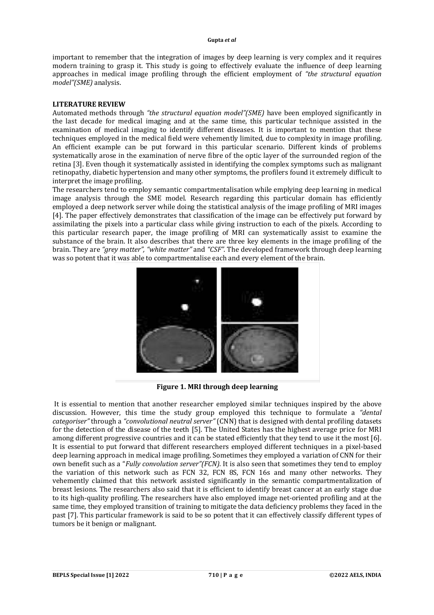important to remember that the integration of images by deep learning is very complex and it requires modern training to grasp it. This study is going to effectively evaluate the influence of deep learning approaches in medical image profiling through the efficient employment of *"the structural equation model"(SME)* analysis.

## **LITERATURE REVIEW**

Automated methods through *"the structural equation model"(SME)* have been employed significantly in the last decade for medical imaging and at the same time, this particular technique assisted in the examination of medical imaging to identify different diseases. It is important to mention that these techniques employed in the medical field were vehemently limited, due to complexity in image profiling. An efficient example can be put forward in this particular scenario. Different kinds of problems systematically arose in the examination of nerve fibre of the optic layer of the surrounded region of the retina [3]. Even though it systematically assisted in identifying the complex symptoms such as malignant retinopathy, diabetic hypertension and many other symptoms, the profilers found it extremely difficult to interpret the image profiling.

The researchers tend to employ semantic compartmentalisation while emplying deep learning in medical image analysis through the SME model. Research regarding this particular domain has efficiently employed a deep network server while doing the statistical analysis of the image profiling of MRI images [4]. The paper effectively demonstrates that classification of the image can be effectively put forward by assimilating the pixels into a particular class while giving instruction to each of the pixels. According to this particular research paper, the image profiling of MRI can systematically assist to examine the substance of the brain. It also describes that there are three key elements in the image profiling of the brain. They are *"grey matter", "white matter"* and *"CSF"*. The developed framework through deep learning was so potent that it was able to compartmentalise each and every element of the brain.



**Figure 1. MRI through deep learning**

It is essential to mention that another researcher employed similar techniques inspired by the above discussion. However, this time the study group employed this technique to formulate a *"dental categoriser"* through a *"convolutional neutral server"* (CNN) that is designed with dental profiling datasets for the detection of the disease of the teeth [5]. The United States has the highest average price for MRI among different progressive countries and it can be stated efficiently that they tend to use it the most [6]. It is essential to put forward that different researchers employed different techniques in a pixel-based deep learning approach in medical image profiling. Sometimes they employed a variation of CNN for their own benefit such as a "*Fully convolution server"(FCN).* It is also seen that sometimes they tend to employ the variation of this network such as FCN 32, FCN 8S, FCN 16s and many other networks. They vehemently claimed that this network assisted significantly in the semantic compartmentalization of breast lesions. The researchers also said that it is efficient to identify breast cancer at an early stage due to its high-quality profiling. The researchers have also employed image net-oriented profiling and at the same time, they employed transition of training to mitigate the data deficiency problems they faced in the past [7]. This particular framework is said to be so potent that it can effectively classify different types of tumors be it benign or malignant.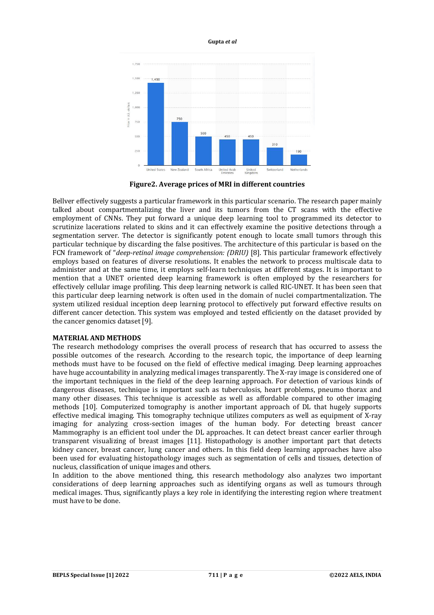



**Figure2. Average prices of MRI in different countries**

Bellver effectively suggests a particular framework in this particular scenario. The research paper mainly talked about compartmentalizing the liver and its tumors from the CT scans with the effective employment of CNNs. They put forward a unique deep learning tool to programmed its detector to scrutinize lacerations related to skins and it can effectively examine the positive detections through a segmentation server. The detector is significantly potent enough to locate small tumors through this particular technique by discarding the false positives. The architecture of this particular is based on the FCN framework of "*deep-retinal image comprehension: (DRIU)* [8]. This particular framework effectively employs based on features of diverse resolutions. It enables the network to process multiscale data to administer and at the same time, it employs self-learn techniques at different stages. It is important to mention that a UNET oriented deep learning framework is often employed by the researchers for effectively cellular image profiling. This deep learning network is called RIC-UNET. It has been seen that this particular deep learning network is often used in the domain of nuclei compartmentalization. The system utilized residual inception deep learning protocol to effectively put forward effective results on different cancer detection. This system was employed and tested efficiently on the dataset provided by the cancer genomics dataset [9].

## **MATERIAL AND METHODS**

The research methodology comprises the overall process of research that has occurred to assess the possible outcomes of the research. According to the research topic, the importance of deep learning methods must have to be focused on the field of effective medical imaging. Deep learning approaches have huge accountability in analyzing medical images transparently. The X-ray image is considered one of the important techniques in the field of the deep learning approach. For detection of various kinds of dangerous diseases, technique is important such as tuberculosis, heart problems, pneumo thorax and many other diseases. This technique is accessible as well as affordable compared to other imaging methods [10]. Computerized tomography is another important approach of DL that hugely supports effective medical imaging. This tomography technique utilizes computers as well as equipment of X-ray imaging for analyzing cross-section images of the human body. For detecting breast cancer Mammography is an efficient tool under the DL approaches. It can detect breast cancer earlier through transparent visualizing of breast images [11]. Histopathology is another important part that detects kidney cancer, breast cancer, lung cancer and others. In this field deep learning approaches have also been used for evaluating histopathology images such as segmentation of cells and tissues, detection of nucleus, classification of unique images and others.

In addition to the above mentioned thing, this research methodology also analyzes two important considerations of deep learning approaches such as identifying organs as well as tumours through medical images. Thus, significantly plays a key role in identifying the interesting region where treatment must have to be done.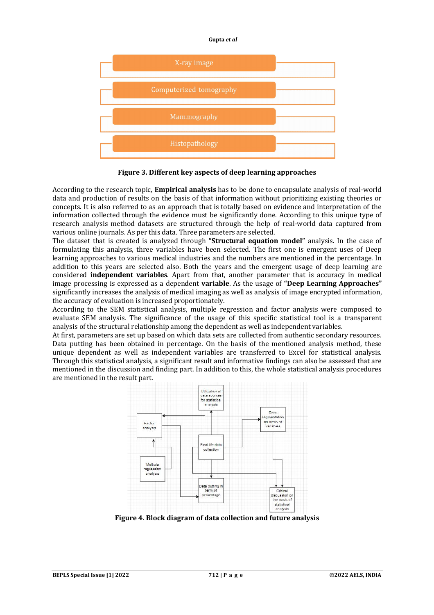

**Figure 3. Different key aspects of deep learning approaches**

According to the research topic, **Empirical analysis** has to be done to encapsulate analysis of real-world data and production of results on the basis of that information without prioritizing existing theories or concepts. It is also referred to as an approach that is totally based on evidence and interpretation of the information collected through the evidence must be significantly done. According to this unique type of research analysis method datasets are structured through the help of real-world data captured from various online journals. As per this data. Three parameters are selected.

The dataset that is created is analyzed through **"Structural equation model"** analysis. In the case of formulating this analysis, three variables have been selected. The first one is emergent uses of Deep learning approaches to various medical industries and the numbers are mentioned in the percentage. In addition to this years are selected also. Both the years and the emergent usage of deep learning are considered **independent variables**. Apart from that, another parameter that is accuracy in medical image processing is expressed as a dependent **variable**. As the usage of **"Deep Learning Approaches"**  significantly increases the analysis of medical imaging as well as analysis of image encrypted information, the accuracy of evaluation is increased proportionately.

According to the SEM statistical analysis, multiple regression and factor analysis were composed to evaluate SEM analysis. The significance of the usage of this specific statistical tool is a transparent analysis of the structural relationship among the dependent as well as independent variables.

At first, parameters are set up based on which data sets are collected from authentic secondary resources. Data putting has been obtained in percentage. On the basis of the mentioned analysis method, these unique dependent as well as independent variables are transferred to Excel for statistical analysis. Through this statistical analysis, a significant result and informative findings can also be assessed that are mentioned in the discussion and finding part. In addition to this, the whole statistical analysis procedures are mentioned in the result part.



**Figure 4. Block diagram of data collection and future analysis**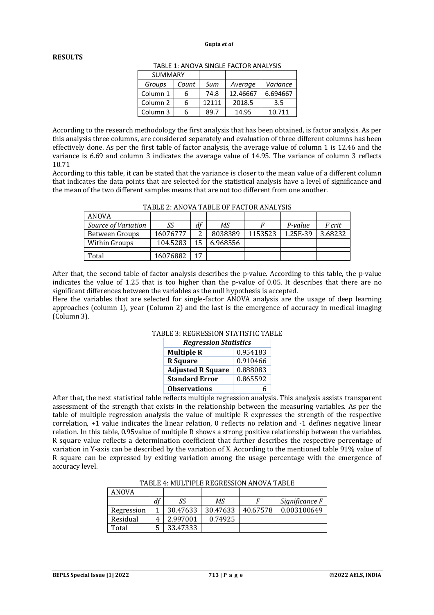## **RESULTS**

| <b>SUMMARY</b>      |       |       |          |          |
|---------------------|-------|-------|----------|----------|
| Groups              | Count | Sum   | Average  | Variance |
| Column 1            | 6     | 74.8  | 12.46667 | 6.694667 |
| Column <sub>2</sub> | 6     | 12111 | 2018.5   | 3.5      |
| Column 3            | h     | 89.7  | 14.95    | 10.711   |

TABLE 1: ANOVA SINGLE FACTOR ANALYSIS

According to the research methodology the first analysis that has been obtained, is factor analysis. As per this analysis three columns, are considered separately and evaluation of three different columns has been effectively done. As per the first table of factor analysis, the average value of column 1 is 12.46 and the variance is 6.69 and column 3 indicates the average value of 14.95. The variance of column 3 reflects 10.71

According to this table, it can be stated that the variance is closer to the mean value of a different column that indicates the data points that are selected for the statistical analysis have a level of significance and the mean of the two different samples means that are not too different from one another.

| ANOVA               |          |    |          |         |          |               |
|---------------------|----------|----|----------|---------|----------|---------------|
| Source of Variation | SS       | df | ΜS       |         | P-value  | <i>F</i> crit |
| Between Groups      | 16076777 | ⌒  | 8038389  | 1153523 | 1.25E-39 | 3.68232       |
| Within Groups       | 104.5283 | 15 | 6.968556 |         |          |               |
|                     |          |    |          |         |          |               |
| Total               | 16076882 | 17 |          |         |          |               |

TABLE 2: ANOVA TABLE OF FACTOR ANALYSIS

After that, the second table of factor analysis describes the p-value. According to this table, the p-value indicates the value of 1.25 that is too higher than the p-value of 0.05. It describes that there are no significant differences between the variables as the null hypothesis is accepted.

Here the variables that are selected for single-factor ANOVA analysis are the usage of deep learning approaches (column 1), year (Column 2) and the last is the emergence of accuracy in medical imaging (Column 3).

|  | TABLE 3: REGRESSION STATISTIC TABLE |
|--|-------------------------------------|
|  |                                     |

| <b>Regression Statistics</b> |          |  |  |  |
|------------------------------|----------|--|--|--|
| <b>Multiple R</b>            | 0.954183 |  |  |  |
| <b>R</b> Square              | 0.910466 |  |  |  |
| <b>Adjusted R Square</b>     | 0.888083 |  |  |  |
| <b>Standard Error</b>        | 0.865592 |  |  |  |
| <b>Observations</b>          | h        |  |  |  |

After that, the next statistical table reflects multiple regression analysis. This analysis assists transparent assessment of the strength that exists in the relationship between the measuring variables. As per the table of multiple regression analysis the value of multiple R expresses the strength of the respective correlation, +1 value indicates the linear relation, 0 reflects no relation and -1 defines negative linear relation. In this table, 0.95value of multiple R shows a strong positive relationship between the variables. R square value reflects a determination coefficient that further describes the respective percentage of variation in Y-axis can be described by the variation of X. According to the mentioned table 91% value of R square can be expressed by exiting variation among the usage percentage with the emergence of accuracy level.

| ANOVA      |    |          |          |          |                |
|------------|----|----------|----------|----------|----------------|
|            | df | SS       | ΜS       |          | Significance F |
| Regression |    | 30.47633 | 30.47633 | 40.67578 | 0.003100649    |
| Residual   |    | 2.997001 | 0.74925  |          |                |
| Total      |    | 33.47333 |          |          |                |

TABLE 4: MULTIPLE REGRESSION ANOVA TABLE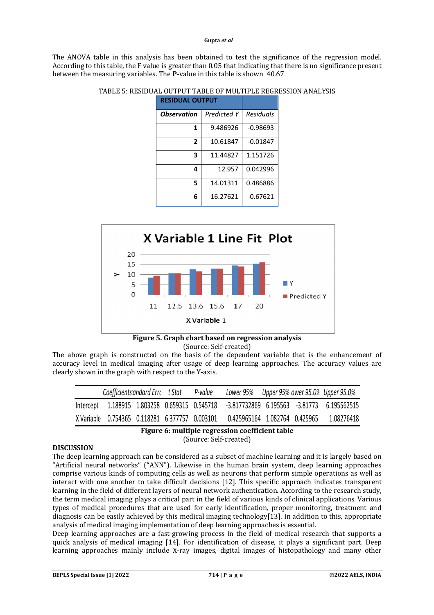The ANOVA table in this analysis has been obtained to test the significance of the regression model. According to this table, the F value is greater than 0.05 that indicating that there is no significance present between the measuring variables. The **P**-value in this table is shown 40.67

| <b>RESIDUAL OUTPUT</b>    |             |            |  |
|---------------------------|-------------|------------|--|
| <i><b>Observation</b></i> | Predicted Y | Residuals  |  |
| 1                         | 9.486926    | $-0.98693$ |  |
| $\overline{2}$            | 10.61847    | $-0.01847$ |  |
| 3                         | 11.44827    | 1.151726   |  |
| 4                         | 12.957      | 0.042996   |  |
| 5                         | 14.01311    | 0.486886   |  |
| 6                         | 16.27621    | $-0.67621$ |  |

TABLE 5: RESIDUAL OUTPUT TABLE OF MULTIPLE REGRESSION ANALYSIS





The above graph is constructed on the basis of the dependent variable that is the enhancement of accuracy level in medical imaging after usage of deep learning approaches. The accuracy values are clearly shown in the graph with respect to the Y-axis.

| Coefficients and ard Erre t Stat               |  | P-value | Lower 95% Upper 95% ower 95.0% Upper 95.0% |  |            |
|------------------------------------------------|--|---------|--------------------------------------------|--|------------|
| Intercept 1.188915 1.803258 0.659315 0.545718  |  |         |                                            |  |            |
| X Variable 0.754365 0.118281 6.377757 0.003101 |  |         | 0.425965164 1.082764 0.425965              |  | 1.08276418 |

**Figure 6: multiple regression coefficient table**

(Source: Self-created)

# **DISCUSSION**

The deep learning approach can be considered as a subset of machine learning and it is largely based on "Artificial neural networks" ("ANN"). Likewise in the human brain system, deep learning approaches comprise various kinds of computing cells as well as neurons that perform simple operations as well as interact with one another to take difficult decisions [12]. This specific approach indicates transparent learning in the field of different layers of neural network authentication. According to the research study, the term medical imaging plays a critical part in the field of various kinds of clinical applications. Various types of medical procedures that are used for early identification, proper monitoring, treatment and diagnosis can be easily achieved by this medical imaging technology[13]. In addition to this, appropriate analysis of medical imaging implementation of deep learning approaches is essential.

Deep learning approaches are a fast-growing process in the field of medical research that supports a quick analysis of medical imaging [14]. For identification of disease, it plays a significant part. Deep learning approaches mainly include X-ray images, digital images of histopathology and many other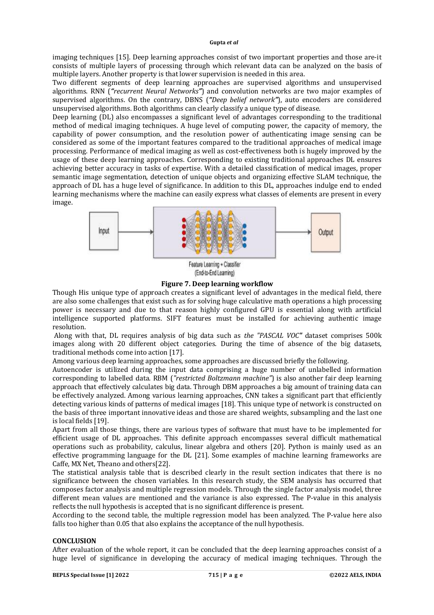imaging techniques [15]. Deep learning approaches consist of two important properties and those are-it consists of multiple layers of processing through which relevant data can be analyzed on the basis of multiple layers. Another property is that lower supervision is needed in this area.

Two different segments of deep learning approaches are supervised algorithms and unsupervised algorithms. RNN (*"recurrent Neural Networks"*) and convolution networks are two major examples of supervised algorithms. On the contrary, DBNS (*"Deep belief network"*), auto encoders are considered unsupervised algorithms. Both algorithms can clearly classify a unique type of disease.

Deep learning (DL) also encompasses a significant level of advantages corresponding to the traditional method of medical imaging techniques. A huge level of computing power, the capacity of memory, the capability of power consumption, and the resolution power of authenticating image sensing can be considered as some of the important features compared to the traditional approaches of medical image processing. Performance of medical imaging as well as cost-effectiveness both is hugely improved by the usage of these deep learning approaches. Corresponding to existing traditional approaches DL ensures achieving better accuracy in tasks of expertise. With a detailed classification of medical images, proper semantic image segmentation, detection of unique objects and organizing effective SLAM technique, the approach of DL has a huge level of significance. In addition to this DL, approaches indulge end to ended learning mechanisms where the machine can easily express what classes of elements are present in every image.



Feature Learning + Classifier (End-to-End Learning)

**Figure 7. Deep learning workflow**

Though His unique type of approach creates a significant level of advantages in the medical field, there are also some challenges that exist such as for solving huge calculative math operations a high processing power is necessary and due to that reason highly configured GPU is essential along with artificial intelligence supported platforms. SIFT features must be installed for achieving authentic image resolution.

Along with that, DL requires analysis of big data such as *the "PASCAL VOC"* dataset comprises 500k images along with 20 different object categories. During the time of absence of the big datasets, traditional methods come into action [17].

Among various deep learning approaches, some approaches are discussed briefly the following.

Autoencoder is utilized during the input data comprising a huge number of unlabelled information corresponding to labelled data. RBM (*"restricted Boltzmann machine"*) is also another fair deep learning approach that effectively calculates big data. Through DBM approaches a big amount of training data can be effectively analyzed. Among various learning approaches, CNN takes a significant part that efficiently detecting various kinds of patterns of medical images [18]. This unique type of network is constructed on the basis of three important innovative ideas and those are shared weights, subsampling and the last one is local fields [19].

Apart from all those things, there are various types of software that must have to be implemented for efficient usage of DL approaches. This definite approach encompasses several difficult mathematical operations such as probability, calculus, linear algebra and others [20]. Python is mainly used as an effective programming language for the DL [21]. Some examples of machine learning frameworks are Caffe, MX Net, Theano and others[22].

The statistical analysis table that is described clearly in the result section indicates that there is no significance between the chosen variables. In this research study, the SEM analysis has occurred that composes factor analysis and multiple regression models. Through the single factor analysis model, three different mean values are mentioned and the variance is also expressed. The P-value in this analysis reflects the null hypothesis is accepted that is no significant difference is present.

According to the second table, the multiple regression model has been analyzed. The P-value here also falls too higher than 0.05 that also explains the acceptance of the null hypothesis.

## **CONCLUSION**

After evaluation of the whole report, it can be concluded that the deep learning approaches consist of a huge level of significance in developing the accuracy of medical imaging techniques. Through the